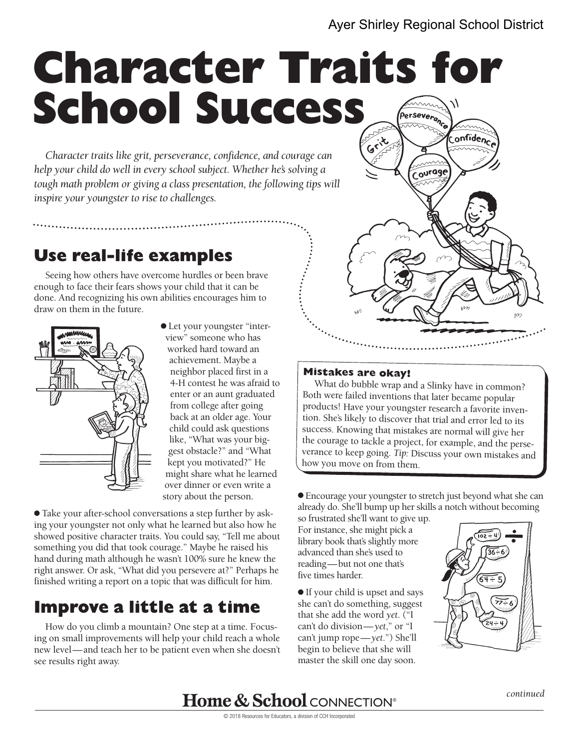### Ayer Shirley Regional School District

# **Character Traits for School Success**  Perseverance

*Character traits like grit, perseverance, confidence, and courage can help your child do well in every school subject. Whether he's solving a tough math problem or giving a class presentation, the following tips will inspire your youngster to rise to challenges.* 

## **Use real-life examples**

Seeing how others have overcome hurdles or been brave enough to face their fears shows your child that it can be done. And recognizing his own abilities encourages him to draw on them in the future.



● Let your youngster "interview" someone who has worked hard toward an achievement. Maybe a neighbor placed first in a 4-H contest he was afraid to enter or an aunt graduated from college after going back at an older age. Your child could ask questions like, "What was your biggest obstacle?" and "What kept you motivated?" He might share what he learned over dinner or even write a story about the person.

● Take your after-school conversations a step further by asking your youngster not only what he learned but also how he showed positive character traits. You could say, "Tell me about something you did that took courage." Maybe he raised his hand during math although he wasn't 100% sure he knew the right answer. Or ask, "What did you persevere at?" Perhaps he finished writing a report on a topic that was difficult for him.

### **Improve a little at a time**

How do you climb a mountain? One step at a time. Focusing on small improvements will help your child reach a whole new level—and teach her to be patient even when she doesn't see results right away.



#### **Mistakes are okay!**

What do bubble wrap and a Slinky have in common? Both were failed inventions that later became popular products! Have your youngster research a favorite invention. She's likely to discover that trial and error led to its success. Knowing that mistakes are normal will give her the courage to tackle a project, for example, and the perseverance to keep going. *Tip:* Discuss your own mistakes and how you move on from them.

● Encourage your youngster to stretch just beyond what she can already do. She'll bump up her skills a notch without becoming

so frustrated she'll want to give up. For instance, she might pick a library book that's slightly more advanced than she's used to reading—but not one that's five times harder.

● If your child is upset and says she can't do something, suggest that she add the word *yet*. ("I can't do division—*yet*," or "I can't jump rope— *yet*.") She'll begin to believe that she will master the skill one day soon.



**Home & School CONNECTION®** 

© 2018 Resources for Educators, a division of CCH Incorporated